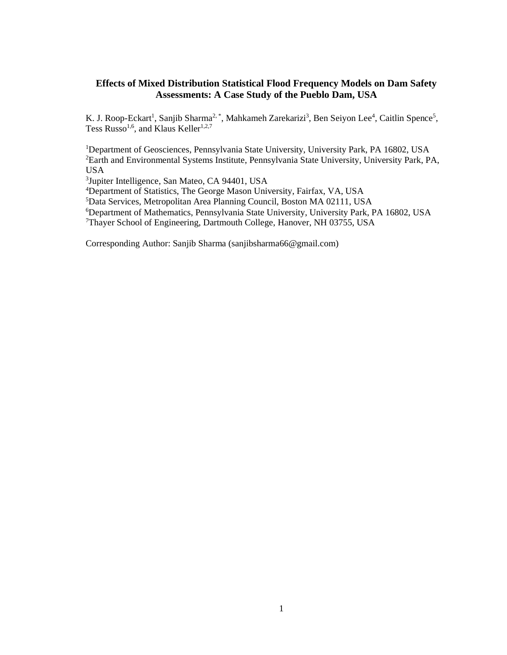# **Effects of Mixed Distribution Statistical Flood Frequency Models on Dam Safety Assessments: A Case Study of the Pueblo Dam, USA**

K. J. Roop-Eckart<sup>1</sup>, Sanjib Sharma<sup>2,\*</sup>, Mahkameh Zarekarizi<sup>3</sup>, Ben Seiyon Lee<sup>4</sup>, Caitlin Spence<sup>5</sup>, Tess Russo<sup>1,6</sup>, and Klaus Keller<sup>1,2,7</sup>

<sup>1</sup>Department of Geosciences, Pennsylvania State University, University Park, PA 16802, USA <sup>2</sup>Earth and Environmental Systems Institute, Pennsylvania State University, University Park, PA, USA

3 Jupiter Intelligence, San Mateo, CA 94401, USA

<sup>4</sup>Department of Statistics, The George Mason University, Fairfax, VA, USA

<sup>5</sup>Data Services, Metropolitan Area Planning Council, Boston MA 02111, USA

<sup>6</sup>Department of Mathematics, Pennsylvania State University, University Park, PA 16802, USA

<sup>7</sup>Thayer School of Engineering, Dartmouth College, Hanover, NH 03755, USA

Corresponding Author: Sanjib Sharma (sanjibsharma66@gmail.com)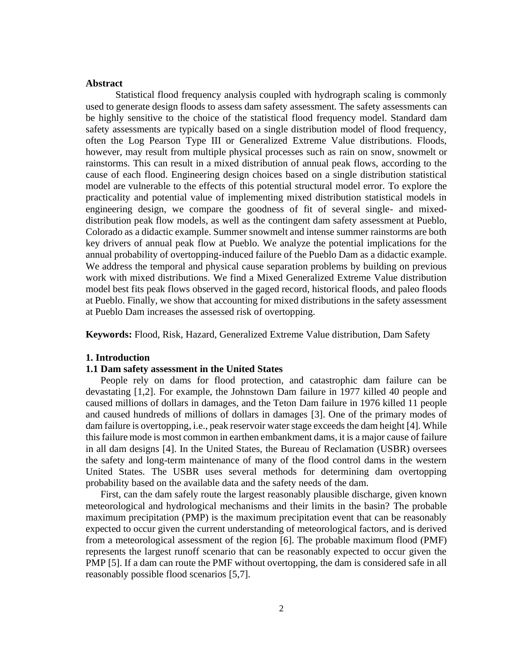## **Abstract**

Statistical flood frequency analysis coupled with hydrograph scaling is commonly used to generate design floods to assess dam safety assessment. The safety assessments can be highly sensitive to the choice of the statistical flood frequency model. Standard dam safety assessments are typically based on a single distribution model of flood frequency, often the Log Pearson Type III or Generalized Extreme Value distributions. Floods, however, may result from multiple physical processes such as rain on snow, snowmelt or rainstorms. This can result in a mixed distribution of annual peak flows, according to the cause of each flood. Engineering design choices based on a single distribution statistical model are vulnerable to the effects of this potential structural model error. To explore the practicality and potential value of implementing mixed distribution statistical models in engineering design, we compare the goodness of fit of several single- and mixeddistribution peak flow models, as well as the contingent dam safety assessment at Pueblo, Colorado as a didactic example. Summer snowmelt and intense summer rainstorms are both key drivers of annual peak flow at Pueblo. We analyze the potential implications for the annual probability of overtopping-induced failure of the Pueblo Dam as a didactic example. We address the temporal and physical cause separation problems by building on previous work with mixed distributions. We find a Mixed Generalized Extreme Value distribution model best fits peak flows observed in the gaged record, historical floods, and paleo floods at Pueblo. Finally, we show that accounting for mixed distributions in the safety assessment at Pueblo Dam increases the assessed risk of overtopping.

**Keywords:** Flood, Risk, Hazard, Generalized Extreme Value distribution, Dam Safety

# **1. Introduction**

### **1.1 Dam safety assessment in the United States**

People rely on dams for flood protection, and catastrophic dam failure can be devastating [\[1,2\].](https://paperpile.com/c/CMPwlg/VUkU+dEwD) For example, the Johnstown Dam failure in 1977 killed 40 people and caused millions of dollars in damages, and the Teton Dam failure in 1976 killed 11 people and caused hundreds of millions of dollars in damages [\[3\].](https://paperpile.com/c/CMPwlg/D5ke) One of the primary modes of dam failure is overtopping, i.e., peak reservoir water stage exceeds the dam height [\[4\].](https://paperpile.com/c/CMPwlg/LhoS) While this failure mode is most common in earthen embankment dams, it is a major cause of failure in all dam designs [\[4\].](https://paperpile.com/c/CMPwlg/LhoS) In the United States, the Bureau of Reclamation (USBR) oversees the safety and long-term maintenance of many of the flood control dams in the western United States. The USBR uses several methods for determining dam overtopping probability based on the available data and the safety needs of the dam.

First, can the dam safely route the largest reasonably plausible discharge, given known meteorological and hydrological mechanisms and their limits in the basin? The probable maximum precipitation (PMP) is the maximum precipitation event that can be reasonably expected to occur given the current understanding of meteorological factors, and is derived from a meteorological assessment of the region [\[6\].](https://paperpile.com/c/CMPwlg/nGyx) The probable maximum flood (PMF) represents the largest runoff scenario that can be reasonably expected to occur given the PMP [\[5\].](https://paperpile.com/c/CMPwlg/win9) If a dam can route the PMF without overtopping, the dam is considered safe in all reasonably possible flood scenarios [\[5,7\].](https://paperpile.com/c/CMPwlg/win9+CMKZ)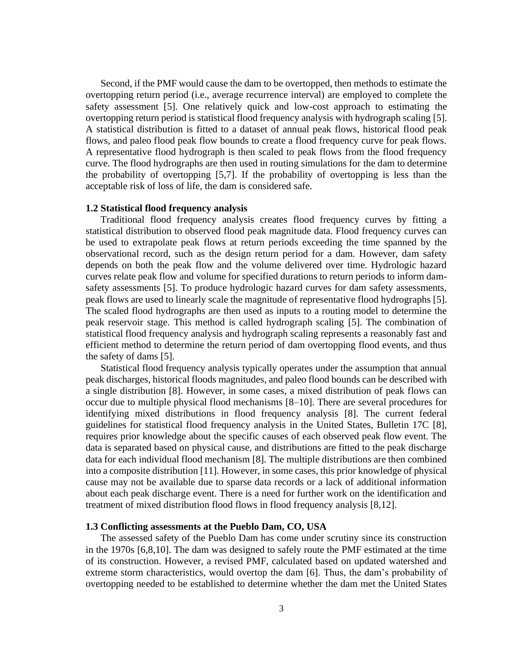Second, if the PMF would cause the dam to be overtopped, then methods to estimate the overtopping return period (i.e., average recurrence interval) are employed to complete the safety assessment [\[5\].](https://paperpile.com/c/CMPwlg/win9) One relatively quick and low-cost approach to estimating the overtopping return period is statistical flood frequency analysis with hydrograph scaling [\[5\].](https://paperpile.com/c/CMPwlg/win9) A statistical distribution is fitted to a dataset of annual peak flows, historical flood peak flows, and paleo flood peak flow bounds to create a flood frequency curve for peak flows. A representative flood hydrograph is then scaled to peak flows from the flood frequency curve. The flood hydrographs are then used in routing simulations for the dam to determine the probability of overtopping [\[5,7\].](https://paperpile.com/c/CMPwlg/win9+CMKZ) If the probability of overtopping is less than the acceptable risk of loss of life, the dam is considered safe.

### **1.2 Statistical flood frequency analysis**

Traditional flood frequency analysis creates flood frequency curves by fitting a statistical distribution to observed flood peak magnitude data. Flood frequency curves can be used to extrapolate peak flows at return periods exceeding the time spanned by the observational record, such as the design return period for a dam. However, dam safety depends on both the peak flow and the volume delivered over time. Hydrologic hazard curves relate peak flow and volume for specified durations to return periods to inform damsafety assessments [\[5\].](https://paperpile.com/c/CMPwlg/win9) To produce hydrologic hazard curves for dam safety assessments, peak flows are used to linearly scale the magnitude of representative flood hydrographs [\[5\].](https://paperpile.com/c/CMPwlg/win9) The scaled flood hydrographs are then used as inputs to a routing model to determine the peak reservoir stage. This method is called hydrograph scaling [\[5\].](https://paperpile.com/c/CMPwlg/win9) The combination of statistical flood frequency analysis and hydrograph scaling represents a reasonably fast and efficient method to determine the return period of dam overtopping flood events, and thus the safety of dams [\[5\].](https://paperpile.com/c/CMPwlg/win9)

Statistical flood frequency analysis typically operates under the assumption that annual peak discharges, historical floods magnitudes, and paleo flood bounds can be described with a single distribution [\[8\].](https://paperpile.com/c/CMPwlg/lbAg) However, in some cases, a mixed distribution of peak flows can occur due to multiple physical flood mechanisms [\[8–10\].](https://paperpile.com/c/CMPwlg/ml7J+AnnX+lbAg) There are several procedures for identifying mixed distributions in flood frequency analysis [\[8\].](https://paperpile.com/c/CMPwlg/lbAg) The current federal guidelines for statistical flood frequency analysis in the United States, Bulletin 17C [\[8\],](https://paperpile.com/c/CMPwlg/lbAg) requires prior knowledge about the specific causes of each observed peak flow event. The data is separated based on physical cause, and distributions are fitted to the peak discharge data for each individual flood mechanism [\[8\].](https://paperpile.com/c/CMPwlg/lbAg) The multiple distributions are then combined into a composite distribution [\[11\].](https://paperpile.com/c/CMPwlg/rcHx) However, in some cases, this prior knowledge of physical cause may not be available due to sparse data records or a lack of additional information about each peak discharge event. There is a need for further work on the identification and treatment of mixed distribution flood flows in flood frequency analysis [\[8,12\].](https://paperpile.com/c/CMPwlg/lbAg+1z39)

# **1.3 Conflicting assessments at the Pueblo Dam, CO, USA**

The assessed safety of the Pueblo Dam has come under scrutiny since its construction in the 1970s [\[6,8,10\].](https://paperpile.com/c/CMPwlg/nGyx+AnnX+lbAg) The dam was designed to safely route the PMF estimated at the time of its construction. However, a revised PMF, calculated based on updated watershed and extreme storm characteristics, would overtop the dam [\[6\].](https://paperpile.com/c/CMPwlg/nGyx) Thus, the dam's probability of overtopping needed to be established to determine whether the dam met the United States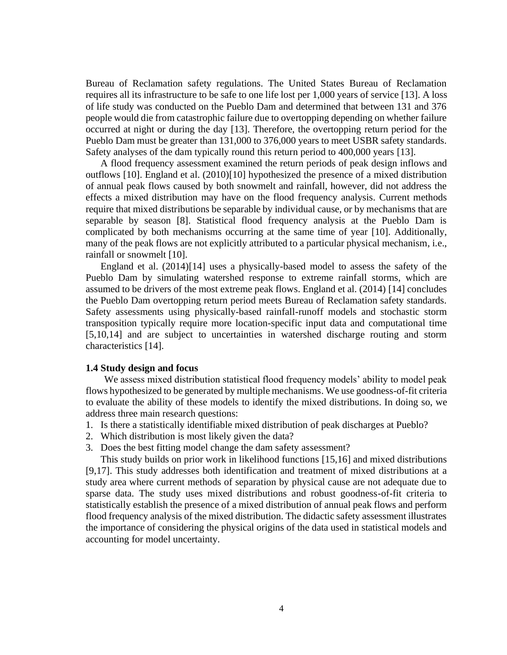Bureau of Reclamation safety regulations. The United States Bureau of Reclamation requires all its infrastructure to be safe to one life lost per 1,000 years of service [\[13\].](https://paperpile.com/c/CMPwlg/XAD7) A loss of life study was conducted on the Pueblo Dam and determined that between 131 and 376 people would die from catastrophic failure due to overtopping depending on whether failure occurred at night or during the day [\[13\].](https://paperpile.com/c/CMPwlg/XAD7) Therefore, the overtopping return period for the Pueblo Dam must be greater than 131,000 to 376,000 years to meet USBR safety standards. Safety analyses of the dam typically round this return period to 400,000 years [\[13\].](https://paperpile.com/c/CMPwlg/XAD7)

A flood frequency assessment examined the return periods of peak design inflows and outflows [\[10\].](https://paperpile.com/c/CMPwlg/AnnX) England et al. (2010[\)\[10\]](https://paperpile.com/c/CMPwlg/AnnX) hypothesized the presence of a mixed distribution of annual peak flows caused by both snowmelt and rainfall, however, did not address the effects a mixed distribution may have on the flood frequency analysis. Current methods require that mixed distributions be separable by individual cause, or by mechanisms that are separable by season [8]. Statistical flood frequency analysis at the Pueblo Dam is complicated by both mechanisms occurring at the same time of year [\[10\].](https://paperpile.com/c/CMPwlg/AnnX) Additionally, many of the peak flows are not explicitly attributed to a particular physical mechanism, i.e., rainfall or snowmelt [\[10\].](https://paperpile.com/c/CMPwlg/AnnX)

England et al. (2014[\)\[14\]](https://paperpile.com/c/CMPwlg/NHdf) uses a physically-based model to assess the safety of the Pueblo Dam by simulating watershed response to extreme rainfall storms, which are assumed to be drivers of the most extreme peak flows. England et al. (2014) [\[14\]](https://paperpile.com/c/CMPwlg/NHdf) concludes the Pueblo Dam overtopping return period meets Bureau of Reclamation safety standards. Safety assessments using physically-based rainfall-runoff models and stochastic storm transposition typically require more location-specific input data and computational time [\[5,10,14\]](https://paperpile.com/c/CMPwlg/win9+NHdf+AnnX) and are subject to uncertainties in watershed discharge routing and storm characteristics [\[14\].](https://paperpile.com/c/CMPwlg/NHdf)

# **1.4 Study design and focus**

We assess mixed distribution statistical flood frequency models' ability to model peak flows hypothesized to be generated by multiple mechanisms. We use goodness-of-fit criteria to evaluate the ability of these models to identify the mixed distributions. In doing so, we address three main research questions:

- 1. Is there a statistically identifiable mixed distribution of peak discharges at Pueblo?
- 2. Which distribution is most likely given the data?
- 3. Does the best fitting model change the dam safety assessment?

This study builds on prior work in likelihood functions [\[15,16\]](https://paperpile.com/c/CMPwlg/FMtt+APyH) and mixed distributions [\[9,17\].](https://paperpile.com/c/CMPwlg/ml7J+UALO) This study addresses both identification and treatment of mixed distributions at a study area where current methods of separation by physical cause are not adequate due to sparse data. The study uses mixed distributions and robust goodness-of-fit criteria to statistically establish the presence of a mixed distribution of annual peak flows and perform flood frequency analysis of the mixed distribution. The didactic safety assessment illustrates the importance of considering the physical origins of the data used in statistical models and accounting for model uncertainty.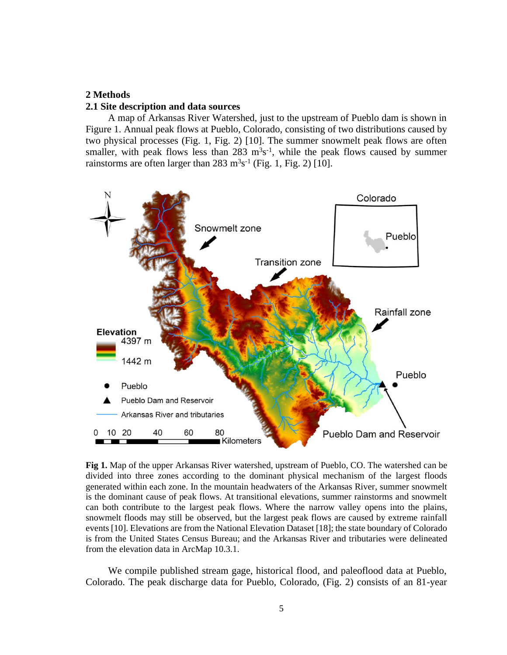# **2 Methods**

### **2.1 Site description and data sources**

A map of Arkansas River Watershed, just to the upstream of Pueblo dam is shown in Figure 1. Annual peak flows at Pueblo, Colorado, consisting of two distributions caused by two physical processes (Fig. 1, Fig. 2) [10]. The summer snowmelt peak flows are often smaller, with peak flows less than  $283 \text{ m}^3\text{s}^{-1}$ , while the peak flows caused by summer rainstorms are often larger than  $283 \text{ m}^3\text{s}^{-1}$  (Fig. 1, Fig. 2) [\[10\].](https://paperpile.com/c/CMPwlg/AnnX)



**Fig 1.** Map of the upper Arkansas River watershed, upstream of Pueblo, CO. The watershed can be divided into three zones according to the dominant physical mechanism of the largest floods generated within each zone. In the mountain headwaters of the Arkansas River, summer snowmelt is the dominant cause of peak flows. At transitional elevations, summer rainstorms and snowmelt can both contribute to the largest peak flows. Where the narrow valley opens into the plains, snowmelt floods may still be observed, but the largest peak flows are caused by extreme rainfall events [\[10\].](https://paperpile.com/c/CMPwlg/AnnX) Elevations are from the National Elevation Datase[t \[18\];](https://paperpile.com/c/CMPwlg/HsJz) the state boundary of Colorado is from the United States Census Bureau; and the Arkansas River and tributaries were delineated from the elevation data in ArcMap 10.3.1.

We compile published stream gage, historical flood, and paleoflood data at Pueblo, Colorado. The peak discharge data for Pueblo, Colorado, (Fig. 2) consists of an 81-year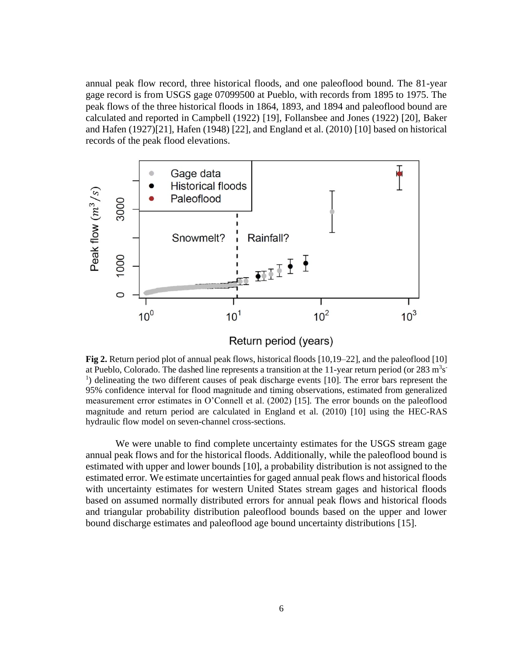annual peak flow record, three historical floods, and one paleoflood bound. The 81-year gage record is from USGS gage 07099500 at Pueblo, with records from 1895 to 1975. The peak flows of the three historical floods in 1864, 1893, and 1894 and paleoflood bound are calculated and reported in Campbell (1922) [\[19\],](https://paperpile.com/c/CMPwlg/O9Az) Follansbee and Jones (1922) [\[20\],](https://paperpile.com/c/CMPwlg/LgBB) Baker and Hafen (1927[\)\[21\],](https://paperpile.com/c/CMPwlg/GzYD) Hafen (1948[\) \[22\],](https://paperpile.com/c/CMPwlg/YZCL) and England et al. (2010) [\[10\]](https://paperpile.com/c/CMPwlg/AnnX) based on historical records of the peak flood elevations.



Return period (years)

**Fig 2.** Return period plot of annual peak flows, historical floods [\[10,19–22\],](https://paperpile.com/c/CMPwlg/O9Az+LgBB+GzYD+YZCL+AnnX) and the paleofloo[d \[10\]](https://paperpile.com/c/CMPwlg/AnnX) at Pueblo, Colorado. The dashed line represents a transition at the 11-year return period (or  $283 \text{ m}^3\text{s}$ <sup>1</sup>) delineating the two different causes of peak discharge events [10]. The error bars represent the 95% confidence interval for flood magnitude and timing observations, estimated from generalized measurement error estimates in O'Connell et al. (2002) [\[15\].](https://paperpile.com/c/CMPwlg/FMtt) The error bounds on the paleoflood magnitude and return period are calculated in England et al. (2010) [\[10\]](https://paperpile.com/c/CMPwlg/AnnX) using the HEC-RAS hydraulic flow model on seven-channel cross-sections.

We were unable to find complete uncertainty estimates for the USGS stream gage annual peak flows and for the historical floods. Additionally, while the paleoflood bound is estimated with upper and lower bounds [\[10\],](https://paperpile.com/c/CMPwlg/AnnX) a probability distribution is not assigned to the estimated error. We estimate uncertainties for gaged annual peak flows and historical floods with uncertainty estimates for western United States stream gages and historical floods based on assumed normally distributed errors for annual peak flows and historical floods and triangular probability distribution paleoflood bounds based on the upper and lower bound discharge estimates and paleoflood age bound uncertainty distributions [\[15\].](https://paperpile.com/c/CMPwlg/FMtt)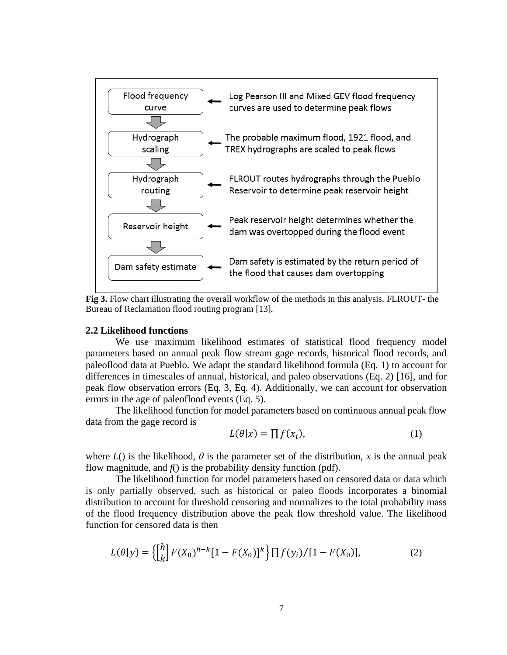

**Fig 3.** Flow chart illustrating the overall workflow of the methods in this analysis. FLROUT- the Bureau of Reclamation flood routing program [\[13\]](https://paperpile.com/c/CMPwlg/XAD7).

## **2.2 Likelihood functions**

We use maximum likelihood estimates of statistical flood frequency model parameters based on annual peak flow stream gage records, historical flood records, and paleoflood data at Pueblo. We adapt the standard likelihood formula (Eq. 1) to account for differences in timescales of annual, historical, and paleo observations (Eq. 2) [\[16\],](https://paperpile.com/c/CMPwlg/APyH) and for peak flow observation errors (Eq. 3, Eq. 4). Additionally, we can account for observation errors in the age of paleoflood events (Eq. 5).

The likelihood function for model parameters based on continuous annual peak flow data from the gage record is

$$
L(\theta | x) = \prod f(x_i), \tag{1}
$$

where  $L()$  is the likelihood,  $\theta$  is the parameter set of the distribution, *x* is the annual peak flow magnitude, and  $f()$  is the probability density function (pdf).

The likelihood function for model parameters based on censored data or data which is only partially observed, such as historical or paleo floods incorporates a binomial distribution to account for threshold censoring and normalizes to the total probability mass of the flood frequency distribution above the peak flow threshold value. The likelihood function for censored data is then

$$
L(\theta|y) = \left\{ \begin{bmatrix} h \\ k \end{bmatrix} F(X_0)^{h-k} [1 - F(X_0)]^k \right\} \prod f(y_i) / [1 - F(X_0)],\tag{2}
$$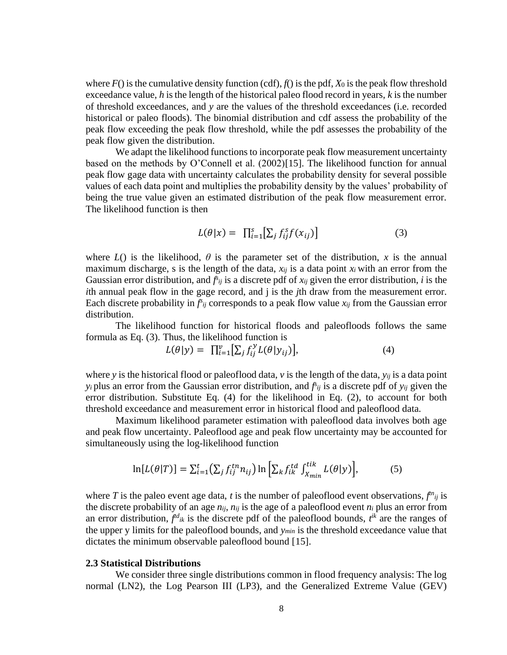where  $F()$  is the cumulative density function (cdf),  $f()$  is the pdf,  $X<sub>0</sub>$  is the peak flow threshold exceedance value, *h* is the length of the historical paleo flood record in years, *k* is the number of threshold exceedances, and *y* are the values of the threshold exceedances (i.e. recorded historical or paleo floods). The binomial distribution and cdf assess the probability of the peak flow exceeding the peak flow threshold, while the pdf assesses the probability of the peak flow given the distribution.

We adapt the likelihood functions to incorporate peak flow measurement uncertainty based on the methods by O'Connell et al. (2002[\)\[15\].](https://paperpile.com/c/CMPwlg/FMtt) The likelihood function for annual peak flow gage data with uncertainty calculates the probability density for several possible values of each data point and multiplies the probability density by the values' probability of being the true value given an estimated distribution of the peak flow measurement error. The likelihood function is then

$$
L(\theta|x) = \prod_{i=1}^{s} \left[ \sum_{j} f_{ij}^{s} f(x_{ij}) \right]
$$
 (3)

where  $L()$  is the likelihood,  $\theta$  is the parameter set of the distribution, x is the annual maximum discharge, s is the length of the data, *xij* is a data point *x<sup>i</sup>* with an error from the Gaussian error distribution, and  $f_{ij}$  is a discrete pdf of  $x_{ij}$  given the error distribution, *i* is the *i*th annual peak flow in the gage record, and j is the *j*th draw from the measurement error. Each discrete probability in  $f_{ij}$  corresponds to a peak flow value  $x_{ij}$  from the Gaussian error distribution.

The likelihood function for historical floods and paleofloods follows the same formula as Eq. (3). Thus, the likelihood function is

$$
L(\theta|y) = \prod_{i=1}^{v} \left[ \sum_{j} f_{ij}^{y} L(\theta|y_{ij}) \right],
$$
\n(4)

where *y* is the historical flood or paleoflood data, *v* is the length of the data, *yij* is a data point *y*<sup>*i*</sup> plus an error from the Gaussian error distribution, and  $f_{ij}$  is a discrete pdf of *y<sub>ij</sub>* given the error distribution. Substitute Eq. (4) for the likelihood in Eq. (2), to account for both threshold exceedance and measurement error in historical flood and paleoflood data.

Maximum likelihood parameter estimation with paleoflood data involves both age and peak flow uncertainty. Paleoflood age and peak flow uncertainty may be accounted for simultaneously using the log-likelihood function

$$
\ln[L(\theta|T)] = \sum_{i=1}^{t} \left(\sum_{j} f_{ij}^{tn} n_{ij}\right) \ln\left[\sum_{k} f_{ik}^{td} \int_{X_{min}}^{tik} L(\theta|y)\right],\tag{5}
$$

where *T* is the paleo event age data, *t* is the number of paleoflood event observations,  $f^{n_{ij}}$  is the discrete probability of an age  $n_{ij}$ ,  $n_{ij}$  is the age of a paleoflood event  $n_i$  plus an error from an error distribution,  $f^{d}_{ik}$  is the discrete pdf of the paleoflood bounds,  $f^{ik}$  are the ranges of the upper y limits for the paleoflood bounds, and *ymin* is the threshold exceedance value that dictates the minimum observable paleoflood bound [\[15\].](https://paperpile.com/c/CMPwlg/FMtt)

### **2.3 Statistical Distributions**

We consider three single distributions common in flood frequency analysis: The log normal (LN2), the Log Pearson III (LP3), and the Generalized Extreme Value (GEV)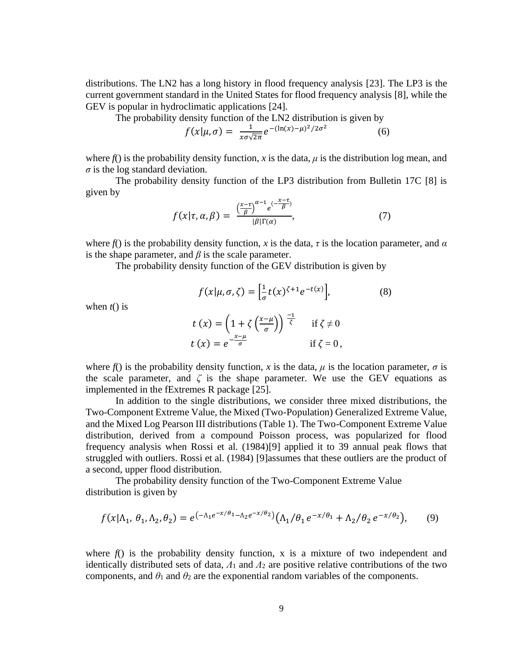distributions. The LN2 has a long history in flood frequency analysis [\[23\].](https://paperpile.com/c/CMPwlg/UPIh) The LP3 is the current government standard in the United States for flood frequency analysis [\[8\],](https://paperpile.com/c/CMPwlg/lbAg) while the GEV is popular in hydroclimatic applications [\[24\].](https://paperpile.com/c/CMPwlg/1B0k)

The probability density function of the LN2 distribution is given by

$$
f(x|\mu,\sigma) = \frac{1}{x\sigma\sqrt{2\pi}}e^{-(\ln(x)-\mu)^2/2\sigma^2}
$$
 (6)

where  $f()$  is the probability density function, *x* is the data,  $\mu$  is the distribution log mean, and  $\sigma$  is the log standard deviation.

The probability density function of the LP3 distribution from Bulletin 17C [8] is given by

$$
f(x|\tau,\alpha,\beta) = \frac{\left(\frac{x-\tau}{\beta}\right)^{\alpha-1} e^{-\frac{(x-\tau)}{\beta}}}{|\beta|\Gamma(\alpha)},\tag{7}
$$

 $\frac{1}{\sigma}t(x)^{\zeta+1}e^{-t(x)}$ 

 $(8)$ 

where  $f()$  is the probability density function, *x* is the data, *τ* is the location parameter, and  $\alpha$ is the shape parameter, and  $\beta$  is the scale parameter.

The probability density function of the GEV distribution is given by

 $f(x|\mu, \sigma, \zeta) = \left[\frac{1}{2}\right]$ 

when 
$$
t()
$$
 is

$$
t(x) = \left(1 + \zeta \left(\frac{x-\mu}{\sigma}\right)\right)^{\frac{-1}{\zeta}} \quad \text{if } \zeta \neq 0
$$
  

$$
t(x) = e^{-\frac{x-\mu}{\sigma}} \quad \text{if } \zeta = 0,
$$

where  $f()$  is the probability density function, *x* is the data,  $\mu$  is the location parameter,  $\sigma$  is the scale parameter, and  $\zeta$  is the shape parameter. We use the GEV equations as implemented in the fExtremes R package [\[25\].](https://paperpile.com/c/CMPwlg/4Eqs)

In addition to the single distributions, we consider three mixed distributions, the Two-Component Extreme Value, the Mixed (Two-Population) Generalized Extreme Value, and the Mixed Log Pearson III distributions (Table 1). The Two-Component Extreme Value distribution, derived from a compound Poisson process, was popularized for flood frequency analysis when Rossi et al. (1984[\)\[9\]](https://paperpile.com/c/CMPwlg/ml7J) applied it to 39 annual peak flows that struggled with outliers. Rossi et al. (1984) [\[9\]a](https://paperpile.com/c/CMPwlg/ml7J)ssumes that these outliers are the product of a second, upper flood distribution.

The probability density function of the Two-Component Extreme Value distribution is given by

$$
f(x|\Lambda_1, \theta_1, \Lambda_2, \theta_2) = e^{(-\Lambda_1 e^{-x/\theta_1} - \Lambda_2 e^{-x/\theta_2})} (\Lambda_1/\theta_1 e^{-x/\theta_1} + \Lambda_2/\theta_2 e^{-x/\theta_2}), \quad (9)
$$

where  $f()$  is the probability density function, x is a mixture of two independent and identically distributed sets of data,  $\Lambda_1$  and  $\Lambda_2$  are positive relative contributions of the two components, and  $\theta_1$  and  $\theta_2$  are the exponential random variables of the components.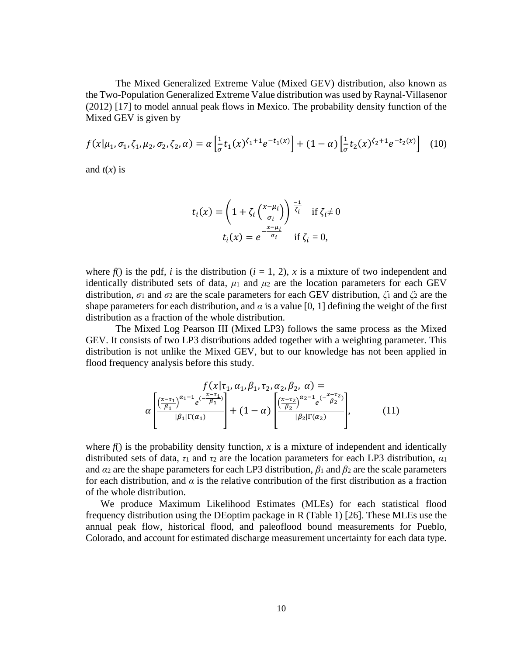The Mixed Generalized Extreme Value (Mixed GEV) distribution, also known as the Two-Population Generalized Extreme Value distribution was used by Raynal-Villasenor (2012) [\[17\]](https://paperpile.com/c/CMPwlg/UALO) to model annual peak flows in Mexico. The probability density function of the Mixed GEV is given by

$$
f(x|\mu_1, \sigma_1, \zeta_1, \mu_2, \sigma_2, \zeta_2, \alpha) = \alpha \left[ \frac{1}{\sigma} t_1(x)^{\zeta_1 + 1} e^{-t_1(x)} \right] + (1 - \alpha) \left[ \frac{1}{\sigma} t_2(x)^{\zeta_2 + 1} e^{-t_2(x)} \right] \tag{10}
$$

and  $t(x)$  is

$$
t_i(x) = \left(1 + \zeta_i \left(\frac{x - \mu_i}{\sigma_i}\right)\right)^{\frac{-1}{\zeta_i}} \quad \text{if } \zeta_i \neq 0
$$

$$
t_i(x) = e^{-\frac{x - \mu_i}{\sigma_i}} \quad \text{if } \zeta_i = 0,
$$

where  $f()$  is the pdf, *i* is the distribution ( $i = 1, 2$ ),  $x$  is a mixture of two independent and identically distributed sets of data,  $\mu_1$  and  $\mu_2$  are the location parameters for each GEV distribution, *σ*<sup>1</sup> and *σ*<sup>2</sup> are the scale parameters for each GEV distribution, *ζ*<sup>1</sup> and *ζ*<sup>2</sup> are the shape parameters for each distribution, and  $\alpha$  is a value [0, 1] defining the weight of the first distribution as a fraction of the whole distribution.

The Mixed Log Pearson III (Mixed LP3) follows the same process as the Mixed GEV. It consists of two LP3 distributions added together with a weighting parameter. This distribution is not unlike the Mixed GEV, but to our knowledge has not been applied in flood frequency analysis before this study.

$$
\alpha \left[ \frac{\left(\frac{x-\tau_1}{\beta_1}\right)^{\alpha_1-1} e^{\left(-\frac{x-\tau_1}{\beta_1}\right)}}{|\beta_1| \Gamma(\alpha_1)} \right] + (1-\alpha) \left[ \frac{\left(\frac{x-\tau_2}{\beta_2}\right)^{\alpha_2-1} e^{\left(-\frac{x-\tau_2}{\beta_2}\right)}}{|\beta_2| \Gamma(\alpha_2)} \right],
$$
\n(11)

where  $f(x)$  is the probability density function, x is a mixture of independent and identically distributed sets of data, *τ*<sup>1</sup> and *τ*<sup>2</sup> are the location parameters for each LP3 distribution, *α*<sup>1</sup> and  $\alpha_2$  are the shape parameters for each LP3 distribution,  $\beta_1$  and  $\beta_2$  are the scale parameters for each distribution, and  $\alpha$  is the relative contribution of the first distribution as a fraction of the whole distribution.

We produce Maximum Likelihood Estimates (MLEs) for each statistical flood frequency distribution using the DEoptim package in R (Table 1) [\[26\].](https://paperpile.com/c/CMPwlg/7l2J) These MLEs use the annual peak flow, historical flood, and paleoflood bound measurements for Pueblo, Colorado, and account for estimated discharge measurement uncertainty for each data type.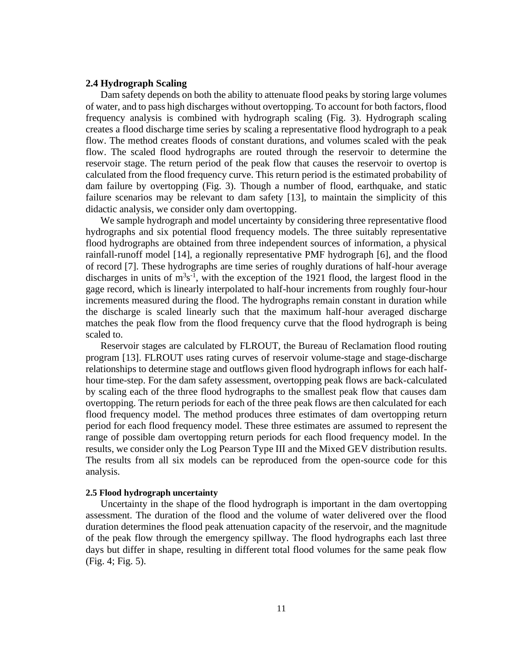# **2.4 Hydrograph Scaling**

Dam safety depends on both the ability to attenuate flood peaks by storing large volumes of water, and to pass high discharges without overtopping. To account for both factors, flood frequency analysis is combined with hydrograph scaling (Fig. 3). Hydrograph scaling creates a flood discharge time series by scaling a representative flood hydrograph to a peak flow. The method creates floods of constant durations, and volumes scaled with the peak flow. The scaled flood hydrographs are routed through the reservoir to determine the reservoir stage. The return period of the peak flow that causes the reservoir to overtop is calculated from the flood frequency curve. This return period is the estimated probability of dam failure by overtopping (Fig. 3). Though a number of flood, earthquake, and static failure scenarios may be relevant to dam safety [\[13\],](https://paperpile.com/c/CMPwlg/XAD7) to maintain the simplicity of this didactic analysis, we consider only dam overtopping.

We sample hydrograph and model uncertainty by considering three representative flood hydrographs and six potential flood frequency models. The three suitably representative flood hydrographs are obtained from three independent sources of information, a physical rainfall-runoff model [\[14\],](https://paperpile.com/c/CMPwlg/NHdf) a regionally representative PMF hydrograph [\[6\],](https://paperpile.com/c/CMPwlg/nGyx) and the flood of record [\[7\].](https://paperpile.com/c/CMPwlg/CMKZ) These hydrographs are time series of roughly durations of half-hour average discharges in units of  $m<sup>3</sup>s<sup>-1</sup>$ , with the exception of the 1921 flood, the largest flood in the gage record, which is linearly interpolated to half-hour increments from roughly four-hour increments measured during the flood. The hydrographs remain constant in duration while the discharge is scaled linearly such that the maximum half-hour averaged discharge matches the peak flow from the flood frequency curve that the flood hydrograph is being scaled to.

Reservoir stages are calculated by FLROUT, the Bureau of Reclamation flood routing program [\[13\].](https://paperpile.com/c/CMPwlg/XAD7) FLROUT uses rating curves of reservoir volume-stage and stage-discharge relationships to determine stage and outflows given flood hydrograph inflows for each halfhour time-step. For the dam safety assessment, overtopping peak flows are back-calculated by scaling each of the three flood hydrographs to the smallest peak flow that causes dam overtopping. The return periods for each of the three peak flows are then calculated for each flood frequency model. The method produces three estimates of dam overtopping return period for each flood frequency model. These three estimates are assumed to represent the range of possible dam overtopping return periods for each flood frequency model. In the results, we consider only the Log Pearson Type III and the Mixed GEV distribution results. The results from all six models can be reproduced from the open-source code for this analysis.

### **2.5 Flood hydrograph uncertainty**

Uncertainty in the shape of the flood hydrograph is important in the dam overtopping assessment. The duration of the flood and the volume of water delivered over the flood duration determines the flood peak attenuation capacity of the reservoir, and the magnitude of the peak flow through the emergency spillway. The flood hydrographs each last three days but differ in shape, resulting in different total flood volumes for the same peak flow (Fig. 4; Fig. 5).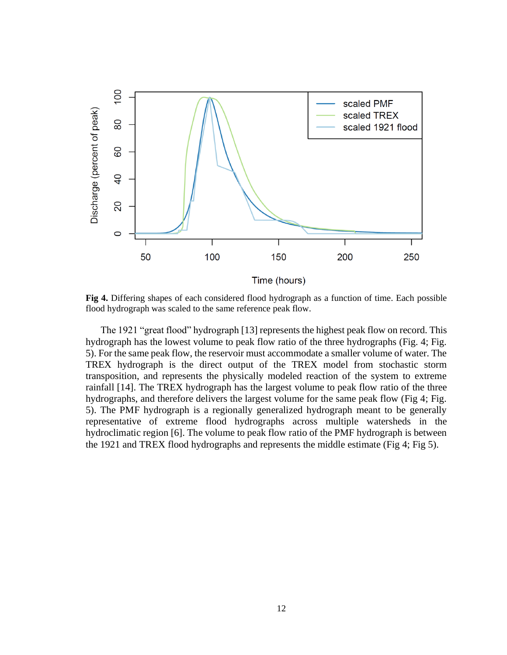

**Fig 4.** Differing shapes of each considered flood hydrograph as a function of time. Each possible flood hydrograph was scaled to the same reference peak flow.

The 1921 "great flood" hydrograph [\[13\]](https://paperpile.com/c/CMPwlg/XAD7) represents the highest peak flow on record. This hydrograph has the lowest volume to peak flow ratio of the three hydrographs (Fig. 4; Fig. 5). For the same peak flow, the reservoir must accommodate a smaller volume of water. The TREX hydrograph is the direct output of the TREX model from stochastic storm transposition, and represents the physically modeled reaction of the system to extreme rainfall [\[14\].](https://paperpile.com/c/CMPwlg/NHdf) The TREX hydrograph has the largest volume to peak flow ratio of the three hydrographs, and therefore delivers the largest volume for the same peak flow (Fig 4; Fig. 5). The PMF hydrograph is a regionally generalized hydrograph meant to be generally representative of extreme flood hydrographs across multiple watersheds in the hydroclimatic region [\[6\].](https://paperpile.com/c/CMPwlg/nGyx) The volume to peak flow ratio of the PMF hydrograph is between the 1921 and TREX flood hydrographs and represents the middle estimate (Fig 4; Fig 5).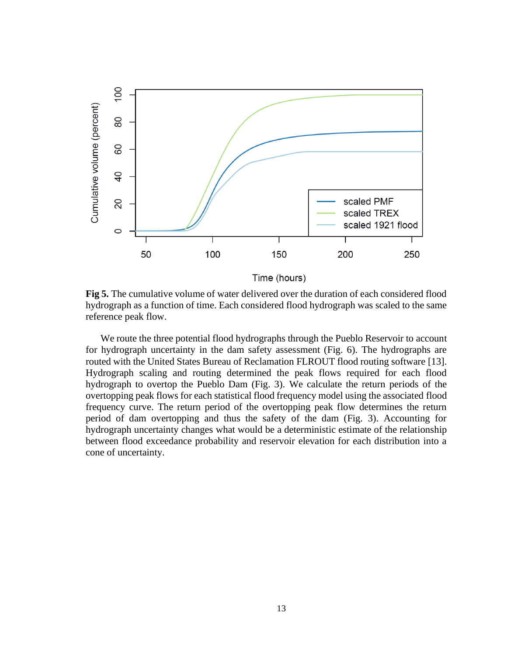

**Fig 5.** The cumulative volume of water delivered over the duration of each considered flood hydrograph as a function of time. Each considered flood hydrograph was scaled to the same reference peak flow.

We route the three potential flood hydrographs through the Pueblo Reservoir to account for hydrograph uncertainty in the dam safety assessment (Fig. 6). The hydrographs are routed with the United States Bureau of Reclamation FLROUT flood routing software [\[13\].](https://paperpile.com/c/CMPwlg/XAD7) Hydrograph scaling and routing determined the peak flows required for each flood hydrograph to overtop the Pueblo Dam (Fig. 3). We calculate the return periods of the overtopping peak flows for each statistical flood frequency model using the associated flood frequency curve. The return period of the overtopping peak flow determines the return period of dam overtopping and thus the safety of the dam (Fig. 3). Accounting for hydrograph uncertainty changes what would be a deterministic estimate of the relationship between flood exceedance probability and reservoir elevation for each distribution into a cone of uncertainty.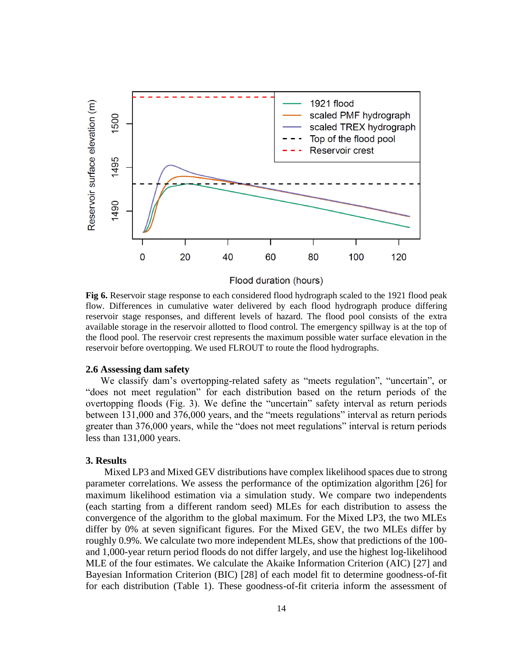

Flood duration (hours)

**Fig 6.** Reservoir stage response to each considered flood hydrograph scaled to the 1921 flood peak flow. Differences in cumulative water delivered by each flood hydrograph produce differing reservoir stage responses, and different levels of hazard. The flood pool consists of the extra available storage in the reservoir allotted to flood control. The emergency spillway is at the top of the flood pool. The reservoir crest represents the maximum possible water surface elevation in the reservoir before overtopping. We used FLROUT to route the flood hydrographs.

#### **2.6 Assessing dam safety**

We classify dam's overtopping-related safety as "meets regulation", "uncertain", or "does not meet regulation" for each distribution based on the return periods of the overtopping floods (Fig. 3). We define the "uncertain" safety interval as return periods between 131,000 and 376,000 years, and the "meets regulations" interval as return periods greater than 376,000 years, while the "does not meet regulations" interval is return periods less than 131,000 years.

# **3. Results**

Mixed LP3 and Mixed GEV distributions have complex likelihood spaces due to strong parameter correlations. We assess the performance of the optimization algorithm [\[26\]](https://paperpile.com/c/CMPwlg/7l2J) for maximum likelihood estimation via a simulation study. We compare two independents (each starting from a different random seed) MLEs for each distribution to assess the convergence of the algorithm to the global maximum. For the Mixed LP3, the two MLEs differ by 0% at seven significant figures. For the Mixed GEV, the two MLEs differ by roughly 0.9%. We calculate two more independent MLEs, show that predictions of the 100 and 1,000-year return period floods do not differ largely, and use the highest log-likelihood MLE of the four estimates. We calculate the Akaike Information Criterion (AIC) [\[27\]](https://paperpile.com/c/CMPwlg/vVvT) and Bayesian Information Criterion (BIC) [\[28\]](https://paperpile.com/c/CMPwlg/npwY) of each model fit to determine goodness-of-fit for each distribution (Table 1). These goodness-of-fit criteria inform the assessment of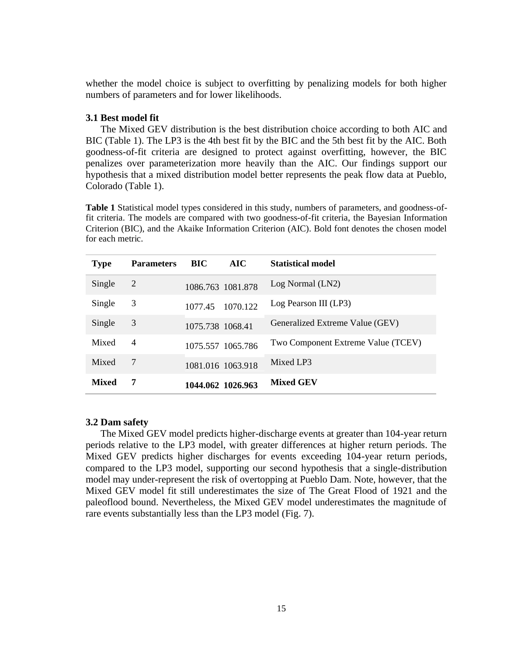whether the model choice is subject to overfitting by penalizing models for both higher numbers of parameters and for lower likelihoods.

## **3.1 Best model fit**

The Mixed GEV distribution is the best distribution choice according to both AIC and BIC (Table 1). The LP3 is the 4th best fit by the BIC and the 5th best fit by the AIC. Both goodness-of-fit criteria are designed to protect against overfitting, however, the BIC penalizes over parameterization more heavily than the AIC. Our findings support our hypothesis that a mixed distribution model better represents the peak flow data at Pueblo, Colorado (Table 1).

**Table 1** Statistical model types considered in this study, numbers of parameters, and goodness-offit criteria. The models are compared with two goodness-of-fit criteria, the Bayesian Information Criterion (BIC), and the Akaike Information Criterion (AIC). Bold font denotes the chosen model for each metric.

| <b>Type</b>  | <b>Parameters</b> | BIC              | <b>AIC</b>        | <b>Statistical model</b>           |
|--------------|-------------------|------------------|-------------------|------------------------------------|
| Single       | 2                 |                  | 1086.763 1081.878 | Log Normal (LN2)                   |
| Single       | 3                 | 1077.45          | 1070.122          | Log Pearson III (LP3)              |
| Single       | 3                 | 1075.738 1068.41 |                   | Generalized Extreme Value (GEV)    |
| Mixed        | 4                 |                  | 1075.557 1065.786 | Two Component Extreme Value (TCEV) |
| Mixed        | 7                 |                  | 1081.016 1063.918 | Mixed LP3                          |
| <b>Mixed</b> | 7                 |                  | 1044.062 1026.963 | <b>Mixed GEV</b>                   |

# **3.2 Dam safety**

The Mixed GEV model predicts higher-discharge events at greater than 104-year return periods relative to the LP3 model, with greater differences at higher return periods. The Mixed GEV predicts higher discharges for events exceeding 104-year return periods, compared to the LP3 model, supporting our second hypothesis that a single-distribution model may under-represent the risk of overtopping at Pueblo Dam. Note, however, that the Mixed GEV model fit still underestimates the size of The Great Flood of 1921 and the paleoflood bound. Nevertheless, the Mixed GEV model underestimates the magnitude of rare events substantially less than the LP3 model (Fig. 7).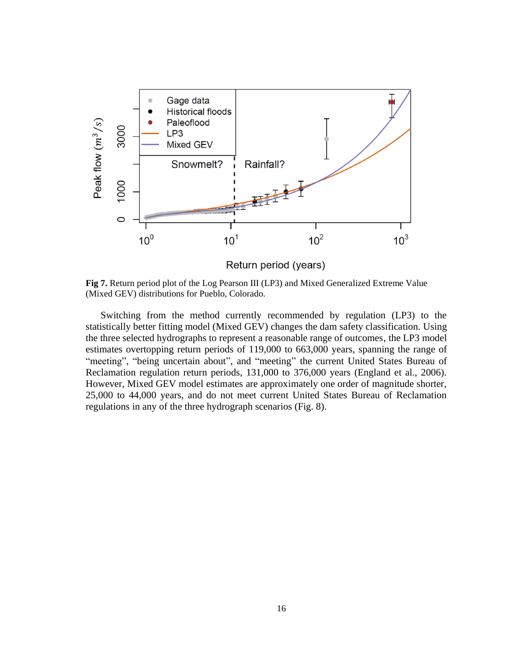

Return period (years)

**Fig 7.** Return period plot of the Log Pearson III (LP3) and Mixed Generalized Extreme Value (Mixed GEV) distributions for Pueblo, Colorado.

Switching from the method currently recommended by regulation (LP3) to the statistically better fitting model (Mixed GEV) changes the dam safety classification. Using the three selected hydrographs to represent a reasonable range of outcomes, the LP3 model estimates overtopping return periods of 119,000 to 663,000 years, spanning the range of "meeting", "being uncertain about", and "meeting" the current United States Bureau of Reclamation regulation return periods, 131,000 to 376,000 years (England et al., 2006). However, Mixed GEV model estimates are approximately one order of magnitude shorter, 25,000 to 44,000 years, and do not meet current United States Bureau of Reclamation regulations in any of the three hydrograph scenarios (Fig. 8).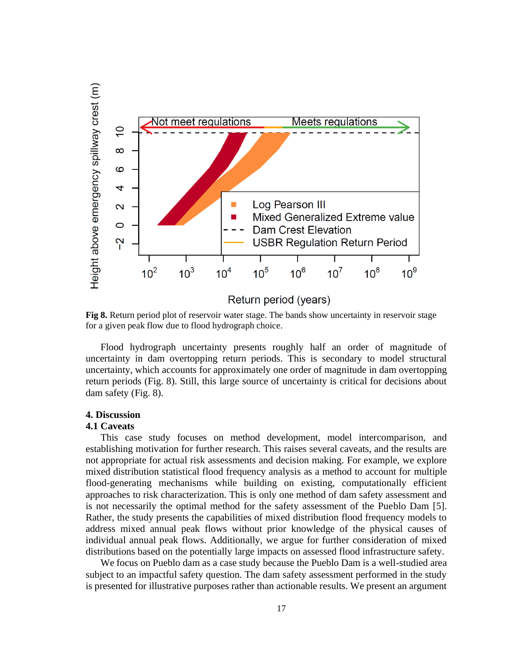

**Fig 8.** Return period plot of reservoir water stage. The bands show uncertainty in reservoir stage for a given peak flow due to flood hydrograph choice.

Flood hydrograph uncertainty presents roughly half an order of magnitude of uncertainty in dam overtopping return periods. This is secondary to model structural uncertainty, which accounts for approximately one order of magnitude in dam overtopping return periods (Fig. 8). Still, this large source of uncertainty is critical for decisions about dam safety (Fig. 8).

## **4. Discussion**

### **4.1 Caveats**

This case study focuses on method development, model intercomparison, and establishing motivation for further research. This raises several caveats, and the results are not appropriate for actual risk assessments and decision making. For example, we explore mixed distribution statistical flood frequency analysis as a method to account for multiple flood-generating mechanisms while building on existing, computationally efficient approaches to risk characterization. This is only one method of dam safety assessment and is not necessarily the optimal method for the safety assessment of the Pueblo Dam [\[5\].](https://paperpile.com/c/CMPwlg/win9) Rather, the study presents the capabilities of mixed distribution flood frequency models to address mixed annual peak flows without prior knowledge of the physical causes of individual annual peak flows. Additionally, we argue for further consideration of mixed distributions based on the potentially large impacts on assessed flood infrastructure safety.

We focus on Pueblo dam as a case study because the Pueblo Dam is a well-studied area subject to an impactful safety question. The dam safety assessment performed in the study is presented for illustrative purposes rather than actionable results. We present an argument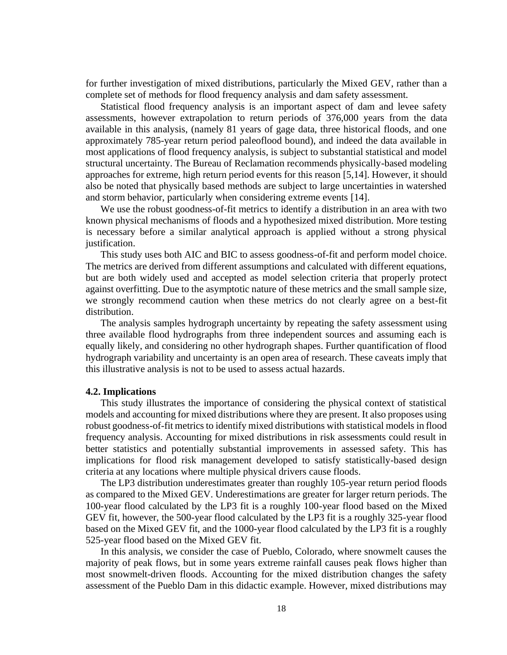for further investigation of mixed distributions, particularly the Mixed GEV, rather than a complete set of methods for flood frequency analysis and dam safety assessment.

Statistical flood frequency analysis is an important aspect of dam and levee safety assessments, however extrapolation to return periods of 376,000 years from the data available in this analysis, (namely 81 years of gage data, three historical floods, and one approximately 785-year return period paleoflood bound), and indeed the data available in most applications of flood frequency analysis, is subject to substantial statistical and model structural uncertainty. The Bureau of Reclamation recommends physically-based modeling approaches for extreme, high return period events for this reason [\[5,14\].](https://paperpile.com/c/CMPwlg/win9+NHdf) However, it should also be noted that physically based methods are subject to large uncertainties in watershed and storm behavior, particularly when considering extreme events [\[14\].](https://paperpile.com/c/CMPwlg/NHdf)

We use the robust goodness-of-fit metrics to identify a distribution in an area with two known physical mechanisms of floods and a hypothesized mixed distribution. More testing is necessary before a similar analytical approach is applied without a strong physical justification.

This study uses both AIC and BIC to assess goodness-of-fit and perform model choice. The metrics are derived from different assumptions and calculated with different equations, but are both widely used and accepted as model selection criteria that properly protect against overfitting. Due to the asymptotic nature of these metrics and the small sample size, we strongly recommend caution when these metrics do not clearly agree on a best-fit distribution.

The analysis samples hydrograph uncertainty by repeating the safety assessment using three available flood hydrographs from three independent sources and assuming each is equally likely, and considering no other hydrograph shapes. Further quantification of flood hydrograph variability and uncertainty is an open area of research. These caveats imply that this illustrative analysis is not to be used to assess actual hazards.

# **4.2. Implications**

This study illustrates the importance of considering the physical context of statistical models and accounting for mixed distributions where they are present. It also proposes using robust goodness-of-fit metrics to identify mixed distributions with statistical models in flood frequency analysis. Accounting for mixed distributions in risk assessments could result in better statistics and potentially substantial improvements in assessed safety. This has implications for flood risk management developed to satisfy statistically-based design criteria at any locations where multiple physical drivers cause floods.

The LP3 distribution underestimates greater than roughly 105-year return period floods as compared to the Mixed GEV. Underestimations are greater for larger return periods. The 100-year flood calculated by the LP3 fit is a roughly 100-year flood based on the Mixed GEV fit, however, the 500-year flood calculated by the LP3 fit is a roughly 325-year flood based on the Mixed GEV fit, and the 1000-year flood calculated by the LP3 fit is a roughly 525-year flood based on the Mixed GEV fit.

In this analysis, we consider the case of Pueblo, Colorado, where snowmelt causes the majority of peak flows, but in some years extreme rainfall causes peak flows higher than most snowmelt-driven floods. Accounting for the mixed distribution changes the safety assessment of the Pueblo Dam in this didactic example. However, mixed distributions may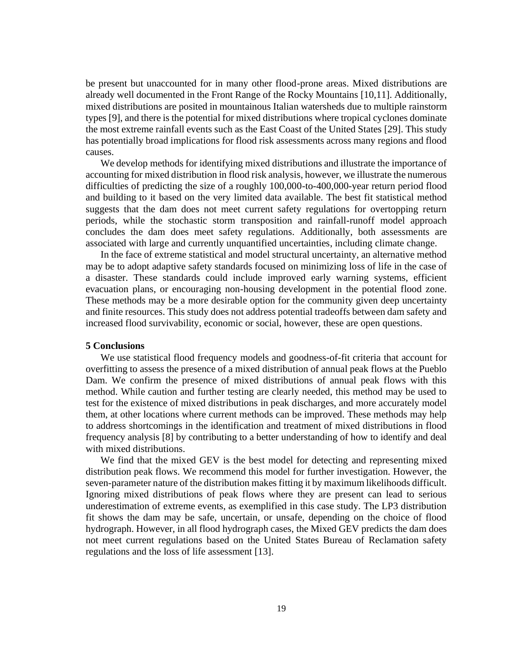be present but unaccounted for in many other flood-prone areas. Mixed distributions are already well documented in the Front Range of the Rocky Mountains [\[10,11\].](https://paperpile.com/c/CMPwlg/AnnX+rcHx) Additionally, mixed distributions are posited in mountainous Italian watersheds due to multiple rainstorm types [\[9\],](https://paperpile.com/c/CMPwlg/ml7J) and there is the potential for mixed distributions where tropical cyclones dominate the most extreme rainfall events such as the East Coast of the United States [\[29\].](https://paperpile.com/c/CMPwlg/kpde) This study has potentially broad implications for flood risk assessments across many regions and flood causes.

We develop methods for identifying mixed distributions and illustrate the importance of accounting for mixed distribution in flood risk analysis, however, we illustrate the numerous difficulties of predicting the size of a roughly 100,000-to-400,000-year return period flood and building to it based on the very limited data available. The best fit statistical method suggests that the dam does not meet current safety regulations for overtopping return periods, while the stochastic storm transposition and rainfall-runoff model approach concludes the dam does meet safety regulations. Additionally, both assessments are associated with large and currently unquantified uncertainties, including climate change.

In the face of extreme statistical and model structural uncertainty, an alternative method may be to adopt adaptive safety standards focused on minimizing loss of life in the case of a disaster. These standards could include improved early warning systems, efficient evacuation plans, or encouraging non-housing development in the potential flood zone. These methods may be a more desirable option for the community given deep uncertainty and finite resources. This study does not address potential tradeoffs between dam safety and increased flood survivability, economic or social, however, these are open questions.

# **5 Conclusions**

We use statistical flood frequency models and goodness-of-fit criteria that account for overfitting to assess the presence of a mixed distribution of annual peak flows at the Pueblo Dam. We confirm the presence of mixed distributions of annual peak flows with this method. While caution and further testing are clearly needed, this method may be used to test for the existence of mixed distributions in peak discharges, and more accurately model them, at other locations where current methods can be improved. These methods may help to address shortcomings in the identification and treatment of mixed distributions in flood frequency analysis [8] by contributing to a better understanding of how to identify and deal with mixed distributions.

We find that the mixed GEV is the best model for detecting and representing mixed distribution peak flows. We recommend this model for further investigation. However, the seven-parameter nature of the distribution makes fitting it by maximum likelihoods difficult. Ignoring mixed distributions of peak flows where they are present can lead to serious underestimation of extreme events, as exemplified in this case study. The LP3 distribution fit shows the dam may be safe, uncertain, or unsafe, depending on the choice of flood hydrograph. However, in all flood hydrograph cases, the Mixed GEV predicts the dam does not meet current regulations based on the United States Bureau of Reclamation safety regulations and the loss of life assessment [\[13\].](https://paperpile.com/c/CMPwlg/XAD7)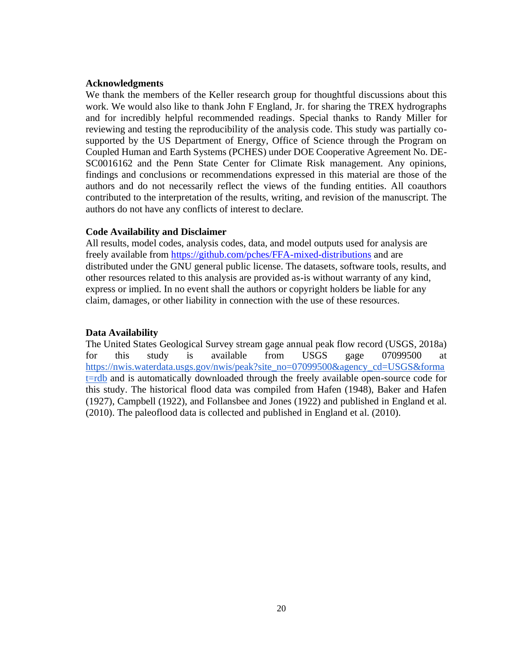# **Acknowledgments**

We thank the members of the Keller research group for thoughtful discussions about this work. We would also like to thank John F England, Jr. for sharing the TREX hydrographs and for incredibly helpful recommended readings. Special thanks to Randy Miller for reviewing and testing the reproducibility of the analysis code. This study was partially cosupported by the US Department of Energy, Office of Science through the Program on Coupled Human and Earth Systems (PCHES) under DOE Cooperative Agreement No. DE-SC0016162 and the Penn State Center for Climate Risk management. Any opinions, findings and conclusions or recommendations expressed in this material are those of the authors and do not necessarily reflect the views of the funding entities. All coauthors contributed to the interpretation of the results, writing, and revision of the manuscript. The authors do not have any conflicts of interest to declare.

# **Code Availability and Disclaimer**

All results, model codes, analysis codes, data, and model outputs used for analysis are freely available from [https://github.com/pches/FFA-mixed-distributions](https://nam10.safelinks.protection.outlook.com/?url=https%3A%2F%2Fgithub.com%2Fpches%2FFFA-mixed-distributions&data=04%7C01%7Csanjibsharma%40psu.edu%7C676600fc1e744d682d5e08d967de87dd%7C7cf48d453ddb4389a9c1c115526eb52e%7C0%7C0%7C637655029088086293%7CUnknown%7CTWFpbGZsb3d8eyJWIjoiMC4wLjAwMDAiLCJQIjoiV2luMzIiLCJBTiI6Ik1haWwiLCJXVCI6Mn0%3D%7C3000&sdata=vazbkLXGmTN1VoFCLJj9AJBEa9UuT4ZVCzl6d01KoGQ%3D&reserved=0) and are distributed under the GNU general public license. The datasets, software tools, results, and other resources related to this analysis are provided as-is without warranty of any kind, express or implied. In no event shall the authors or copyright holders be liable for any claim, damages, or other liability in connection with the use of these resources.

# **Data Availability**

The United States Geological Survey stream gage annual peak flow record (USGS, 2018a) for this study is available from USGS gage 07099500 at [https://nwis.waterdata.usgs.gov/nwis/peak?site\\_no=07099500&agency\\_cd=USGS&forma](https://nwis.waterdata.usgs.gov/nwis/peak?site_no=07099500&agency_cd=USGS&format=rdb) [t=rdb](https://nwis.waterdata.usgs.gov/nwis/peak?site_no=07099500&agency_cd=USGS&format=rdb) and is automatically downloaded through the freely available open-source code for this study. The historical flood data was compiled from Hafen (1948), Baker and Hafen (1927), Campbell (1922), and Follansbee and Jones (1922) and published in England et al. (2010). The paleoflood data is collected and published in England et al. (2010).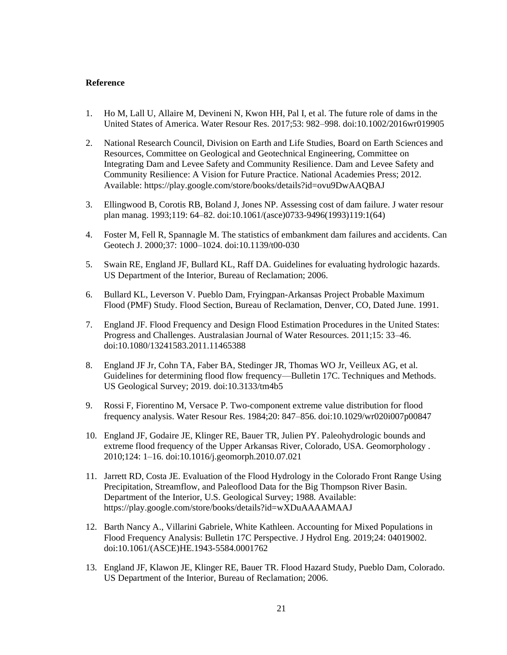### **Reference**

- 1. [Ho M, Lall U, Allaire M, Devineni N, Kwon HH, Pal I, et al. The future role of dams in the](http://paperpile.com/b/CMPwlg/VUkU)  [United States of America. Water Resour Res. 2017;53: 982–998. doi:](http://paperpile.com/b/CMPwlg/VUkU)[10.1002/2016wr019905](http://dx.doi.org/10.1002/2016wr019905)
- 2. [National Research Council, Division on Earth and Life Studies, Board on Earth Sciences and](http://paperpile.com/b/CMPwlg/dEwD)  [Resources, Committee on Geological and Geotechnical Engineering, Committee on](http://paperpile.com/b/CMPwlg/dEwD)  [Integrating Dam and Levee Safety and Community Resilience. Dam and Levee Safety and](http://paperpile.com/b/CMPwlg/dEwD)  [Community Resilience: A Vision for Future Practice. National Academies Press; 2012.](http://paperpile.com/b/CMPwlg/dEwD)  [Available:](http://paperpile.com/b/CMPwlg/dEwD) <https://play.google.com/store/books/details?id=ovu9DwAAQBAJ>
- 3. [Ellingwood B, Corotis RB, Boland J, Jones NP. Assessing cost of dam failure. J water resour](http://paperpile.com/b/CMPwlg/D5ke)  [plan manag. 1993;119: 64–82. doi:](http://paperpile.com/b/CMPwlg/D5ke)[10.1061/\(asce\)0733-9496\(1993\)119:1\(64\)](http://dx.doi.org/10.1061/(asce)0733-9496(1993)119:1(64))
- 4. [Foster M, Fell R, Spannagle M. The statistics of embankment dam failures and accidents. Can](http://paperpile.com/b/CMPwlg/LhoS) [Geotech J. 2000;37: 1000–1024. doi:](http://paperpile.com/b/CMPwlg/LhoS)[10.1139/t00-030](http://dx.doi.org/10.1139/t00-030)
- 5. [Swain RE, England JF, Bullard KL, Raff DA. Guidelines for evaluating hydrologic hazards.](http://paperpile.com/b/CMPwlg/win9)  [US Department of the Interior, Bureau of Reclamation; 2006.](http://paperpile.com/b/CMPwlg/win9)
- 6. [Bullard KL, Leverson V. Pueblo Dam, Fryingpan-Arkansas Project Probable Maximum](http://paperpile.com/b/CMPwlg/nGyx)  [Flood \(PMF\) Study. Flood Section, Bureau of Reclamation, Denver, CO, Dated June. 1991.](http://paperpile.com/b/CMPwlg/nGyx)
- 7. [England JF. Flood Frequency and Design Flood Estimation Procedures in the United States:](http://paperpile.com/b/CMPwlg/CMKZ)  [Progress and Challenges. Australasian Journal of Water Resources. 2011;15: 33–46.](http://paperpile.com/b/CMPwlg/CMKZ)  [doi:](http://paperpile.com/b/CMPwlg/CMKZ)[10.1080/13241583.2011.11465388](http://dx.doi.org/10.1080/13241583.2011.11465388)
- 8. [England JF Jr, Cohn TA, Faber BA, Stedinger JR, Thomas WO Jr, Veilleux AG, et al.](http://paperpile.com/b/CMPwlg/lbAg)  [Guidelines for determining flood flow frequency—Bulletin 17C. Techniques and Methods.](http://paperpile.com/b/CMPwlg/lbAg)  [US Geological Survey; 2019. doi:](http://paperpile.com/b/CMPwlg/lbAg)[10.3133/tm4b5](http://dx.doi.org/10.3133/tm4b5)
- 9. [Rossi F, Fiorentino M, Versace P. Two-component extreme value distribution for flood](http://paperpile.com/b/CMPwlg/ml7J)  [frequency analysis. Water Resour Res. 1984;20: 847–856. doi:](http://paperpile.com/b/CMPwlg/ml7J)[10.1029/wr020i007p00847](http://dx.doi.org/10.1029/wr020i007p00847)
- 10. [England JF, Godaire JE, Klinger RE, Bauer TR, Julien PY. Paleohydrologic bounds and](http://paperpile.com/b/CMPwlg/AnnX)  [extreme flood frequency of the Upper Arkansas River, Colorado, USA. Geomorphology .](http://paperpile.com/b/CMPwlg/AnnX)  [2010;124: 1–16. doi:](http://paperpile.com/b/CMPwlg/AnnX)[10.1016/j.geomorph.2010.07.021](http://dx.doi.org/10.1016/j.geomorph.2010.07.021)
- 11. [Jarrett RD, Costa JE. Evaluation of the Flood Hydrology in the Colorado Front Range Using](http://paperpile.com/b/CMPwlg/rcHx)  [Precipitation, Streamflow, and Paleoflood Data for the Big](http://paperpile.com/b/CMPwlg/rcHx) Thompson River Basin. [Department of the Interior, U.S. Geological Survey; 1988. Available:](http://paperpile.com/b/CMPwlg/rcHx)  <https://play.google.com/store/books/details?id=wXDuAAAAMAAJ>
- 12. [Barth Nancy A., Villarini Gabriele, White Kathleen. Accounting for Mixed Populations in](http://paperpile.com/b/CMPwlg/1z39)  [Flood Frequency Analysis: Bulletin 17C Perspective. J Hydrol Eng. 2019;24: 04019002.](http://paperpile.com/b/CMPwlg/1z39)  [doi:](http://paperpile.com/b/CMPwlg/1z39)[10.1061/\(ASCE\)HE.1943-5584.0001762](http://dx.doi.org/10.1061/(ASCE)HE.1943-5584.0001762)
- 13. [England JF, Klawon JE, Klinger RE, Bauer TR. Flood Hazard Study, Pueblo Dam, Colorado.](http://paperpile.com/b/CMPwlg/XAD7)  [US Department of the Interior, Bureau of Reclamation; 2006.](http://paperpile.com/b/CMPwlg/XAD7)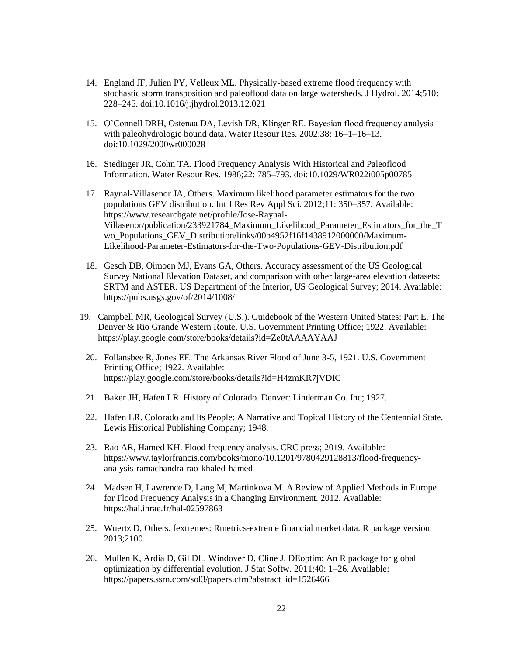- 14. [England JF, Julien PY, Velleux ML. Physically-based extreme flood frequency with](http://paperpile.com/b/CMPwlg/NHdf)  [stochastic storm transposition and paleoflood data on large watersheds. J Hydrol. 2014;510:](http://paperpile.com/b/CMPwlg/NHdf)  [228–245. doi:](http://paperpile.com/b/CMPwlg/NHdf)[10.1016/j.jhydrol.2013.12.021](http://dx.doi.org/10.1016/j.jhydrol.2013.12.021)
- 15. [O'Connell DRH, Ostenaa DA, Levish DR, Klinger RE. Bayesian flood frequency analysis](http://paperpile.com/b/CMPwlg/FMtt)  with paleohydrologic bound data. Water Resour Res. 2002;38: 16–1–16–13. [doi:](http://paperpile.com/b/CMPwlg/FMtt)[10.1029/2000wr000028](http://dx.doi.org/10.1029/2000wr000028)
- 16. [Stedinger JR, Cohn TA. Flood Frequency Analysis](http://paperpile.com/b/CMPwlg/APyH) With Historical and Paleoflood [Information. Water Resour Res. 1986;22: 785–793. doi:](http://paperpile.com/b/CMPwlg/APyH)[10.1029/WR022i005p00785](http://dx.doi.org/10.1029/WR022i005p00785)
- 17. [Raynal-Villasenor JA, Others. Maximum likelihood parameter estimators for the two](http://paperpile.com/b/CMPwlg/UALO)  [populations GEV distribution. Int J Res Rev Appl Sci. 2012;11: 350–357. Available:](http://paperpile.com/b/CMPwlg/UALO)  [https://www.researchgate.net/profile/Jose-Raynal-](https://www.researchgate.net/profile/Jose-Raynal-Villasenor/publication/233921784_Maximum_Likelihood_Parameter_Estimators_for_the_Two_Populations_GEV_Distribution/links/00b4952f16f1438912000000/Maximum-Likelihood-Parameter-Estimators-for-the-Two-Populations-GEV-Distribution.pdf)[Villasenor/publication/233921784\\_Maximum\\_Likelihood\\_Parameter\\_Estimators\\_for\\_the\\_T](https://www.researchgate.net/profile/Jose-Raynal-Villasenor/publication/233921784_Maximum_Likelihood_Parameter_Estimators_for_the_Two_Populations_GEV_Distribution/links/00b4952f16f1438912000000/Maximum-Likelihood-Parameter-Estimators-for-the-Two-Populations-GEV-Distribution.pdf) [wo\\_Populations\\_GEV\\_Distribution/links/00b4952f16f1438912000000/Maximum-](https://www.researchgate.net/profile/Jose-Raynal-Villasenor/publication/233921784_Maximum_Likelihood_Parameter_Estimators_for_the_Two_Populations_GEV_Distribution/links/00b4952f16f1438912000000/Maximum-Likelihood-Parameter-Estimators-for-the-Two-Populations-GEV-Distribution.pdf)[Likelihood-Parameter-Estimators-for-the-Two-Populations-GEV-Distribution.pdf](https://www.researchgate.net/profile/Jose-Raynal-Villasenor/publication/233921784_Maximum_Likelihood_Parameter_Estimators_for_the_Two_Populations_GEV_Distribution/links/00b4952f16f1438912000000/Maximum-Likelihood-Parameter-Estimators-for-the-Two-Populations-GEV-Distribution.pdf)
- 18. [Gesch DB, Oimoen MJ, Evans GA, Others. Accuracy assessment of the US Geological](http://paperpile.com/b/CMPwlg/HsJz)  [Survey National Elevation Dataset, and comparison with other large-area elevation datasets:](http://paperpile.com/b/CMPwlg/HsJz)  [SRTM and ASTER. US Department of the Interior, US Geological Survey; 2014. Available:](http://paperpile.com/b/CMPwlg/HsJz)  <https://pubs.usgs.gov/of/2014/1008/>
- 19. [Campbell MR, Geological Survey \(U.S.\). Guidebook of the Western United States: Part E. The](http://paperpile.com/b/CMPwlg/O9Az)  [Denver & Rio Grande Western Route. U.S. Government Printing Office; 1922. Available:](http://paperpile.com/b/CMPwlg/O9Az)  <https://play.google.com/store/books/details?id=Ze0tAAAAYAAJ>
	- 20. [Follansbee R, Jones EE. The Arkansas River Flood of June 3-5, 1921. U.S. Government](http://paperpile.com/b/CMPwlg/LgBB)  [Printing Office; 1922. Available:](http://paperpile.com/b/CMPwlg/LgBB)  <https://play.google.com/store/books/details?id=H4zmKR7jVDIC>
	- 21. [Baker JH, Hafen LR. History of Colorado. Denver: Linderman Co. Inc; 1927.](http://paperpile.com/b/CMPwlg/GzYD)
	- 22. [Hafen LR. Colorado and Its People: A Narrative and Topical History of the Centennial State.](http://paperpile.com/b/CMPwlg/YZCL)  [Lewis Historical Publishing Company; 1948.](http://paperpile.com/b/CMPwlg/YZCL)
	- 23. [Rao AR, Hamed KH. Flood frequency analysis. CRC press; 2019. Available:](http://paperpile.com/b/CMPwlg/UPIh)  [https://www.taylorfrancis.com/books/mono/10.1201/9780429128813/flood-frequency](https://www.taylorfrancis.com/books/mono/10.1201/9780429128813/flood-frequency-analysis-ramachandra-rao-khaled-hamed)[analysis-ramachandra-rao-khaled-hamed](https://www.taylorfrancis.com/books/mono/10.1201/9780429128813/flood-frequency-analysis-ramachandra-rao-khaled-hamed)
	- 24. [Madsen H, Lawrence D, Lang M, Martinkova M. A Review of Applied Methods in Europe](http://paperpile.com/b/CMPwlg/1B0k)  [for Flood Frequency Analysis in a Changing Environment. 2012. Available:](http://paperpile.com/b/CMPwlg/1B0k)  <https://hal.inrae.fr/hal-02597863>
	- 25. [Wuertz D, Others. fextremes: Rmetrics-extreme financial market data. R package version.](http://paperpile.com/b/CMPwlg/4Eqs)  [2013;2100.](http://paperpile.com/b/CMPwlg/4Eqs)
	- 26. [Mullen K, Ardia D, Gil DL, Windover D, Cline J. DEoptim: An R package for global](http://paperpile.com/b/CMPwlg/7l2J)  [optimization by differential evolution. J Stat Softw. 2011;40: 1–26. Available:](http://paperpile.com/b/CMPwlg/7l2J)  [https://papers.ssrn.com/sol3/papers.cfm?abstract\\_id=1526466](https://papers.ssrn.com/sol3/papers.cfm?abstract_id=1526466)